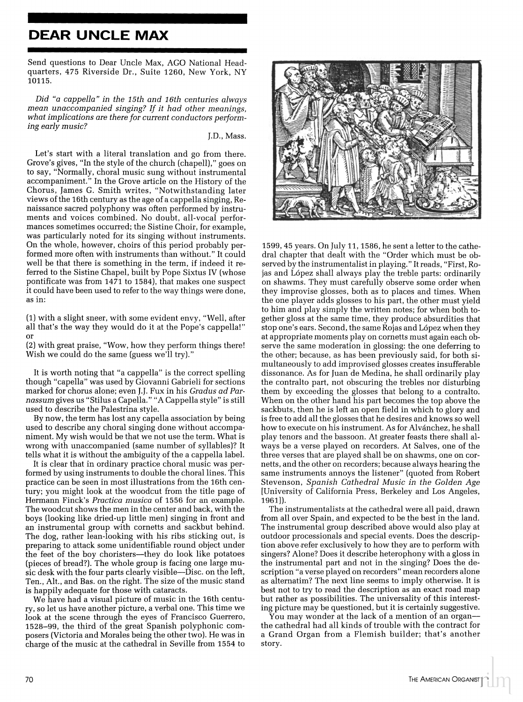## **DEAR UNCLE MAX**

Send questions to Dear Uncle Max, AGO National Headquarters, 475 Riverside Dr., Suite 1260, New York, NY 10115.

Did "a cappella" in the 15th and 16th centuries always mean unaccompanied singing? If it had other meanings, what implications are there for current conductors performing early music?

J.D., Mass.

Let's start with a literal translation and go from there. Grove's gives, "In the style of the church (chapell)," goes on to say, "Normally, choral music sung without instrumental accompaniment." In the Grove article on the History of the Chorus, James G. Smith writes, "Notwithstanding later views of the 16th century as the age of a cappella singing, Renaissance sacred polyphony was often performed by instruments and voices combined. No doubt, all-vocal performances sometimes occurred; the Sistine Choir, for example, was particularly noted for its singing without instruments. On the whole, however, choirs of this period probably performed more often with instruments than without." It could well be that there is something in the term, if indeed it referred to the Sistine Chapel, built by Pope Sixtus IV (whose pontificate was from 1471 to 1584), that makes one suspect it could have been used to refer to the way things were done, as in:

(1) with a slight sneer, with some evident envy, "Well, after all that's the way they would do it at the Pope's cappella!"

(2) with great praise, "Wow, how they perform things there! Wish we could do the same (guess we'll try)."

It is worth noting that "a cappella" is the correct spelling though "capella" was used by Giovanni Gabrieli for sections marked for chorus alone; even J.J. Fux in his Gradus ad Parnassum gives us "Stilus a Capella." "A Cappella style" is still used to describe the Palestrina style.

By now, the term has lost any capella association by being used to describe any choral singing done without accompaniment. My wish would be that we not use the term. What is wrong with unaccompanied (same number of syllables)? It tells what it is without the ambiguity of the a cappella label.

It is clear that in ordinary practice choral music was performed by using instruments to double the choral lines. This practice can be seen in most illustrations from the 16th century; you might look at the woodcut from the title page of Hermann Finck's Practica musica of 1556 for an example. The woodcut shows the men in the center and back, with the boys (looking like dried-up little men) singing in front and an instrumental group with cornetts and sackbut behind. The dog, rather lean-looking with his ribs sticking out, is preparing to attack some unidentifiable round object under the feet of the boy choristers—they do look like potatoes (pieces of bread?). The whole group is facing one large music desk with the four parts clearly visible--Disc. on the left, Ten., Alt., and Bas. on the right. The size of the music stand is happily adequate for those with cataracts.

We have had a visual picture of music in the 16th century, so let us have another picture, a verbal one. This time we look at the scene through the eyes of Francisco Guerrero, 1528-99, the third of the great Spanish polyphonic composers (Victoria and Morales being the other two). He was in charge of the music at the cathedral in Seville from 1554 to



1599, 45 years. On July 11, 1586, he sent a letter to the cathedral chapter that dealt with the "Order which must be observed by the instrumentalist in playing." It reads, "First, Rojas and López shall always play the treble parts: ordinarily on shawms. They must carefully observe some order when they improvise glosses, both as to places and times. When the one player adds glosses to his part, the other must yield to him and play simply the written notes; for when both together gloss at the same time, they produce absurdities that stop one's ears. Second, the same Rojas and López when they at appropriate moments play on cornetts must again each observe the same moderation in glossing: the one deferring to the other; because, as has been previously said, for both simultaneously to add improvised glosses creates insufferable dissonance. As for Juan de Medina, he shall ordinarily play the contralto part, not obscuring the trebles nor disturbing them by exceeding the glosses that belong to a contralto. When on the other hand his part becomes the top above the sackbuts, then he is left an open field in which to glory and is free to add all the glosses that he desires and knows so well how to execute on his instrument. As for Alvánchez, he shall play tenors and the bassoon. At greater feasts there shall always be a verse played on recorders. At Salves, one of the three verses that are played shall be on shawms, one on cornetts, and the other on recorders; because always hearing the same instruments annoys the listener" (quoted from Robert Stevenson, Spanish Cathedral Music in the Golden Age [University of California Press, Berkeley and Los Angeles, 1961]).

The instrumentalists at the cathedral were all paid, drawn from all over Spain, and expected to be the best in the land. The instrumental group described above would also play at outdoor processionals and special events. Does the description above refer exclusively to how they are to perform with singers? Alone? Does it describe heterophony with a gloss in the instrumental part and not in the singing? Does the description "a verse played on recorders" mean recorders alone as alternatim? The next line seems to imply otherwise. It is best not to try to read the description as an exact road map but rather as possibilities. The universality of this interesting picture may be questioned, but it is certainly suggestive.

 $\mathrm{\tilde{Y}o}$ u may wonder at the lack of a mention of an organ the cathedral had all kinds of trouble with the contract for a Grand Organ from a Flemish builder; that's another story.